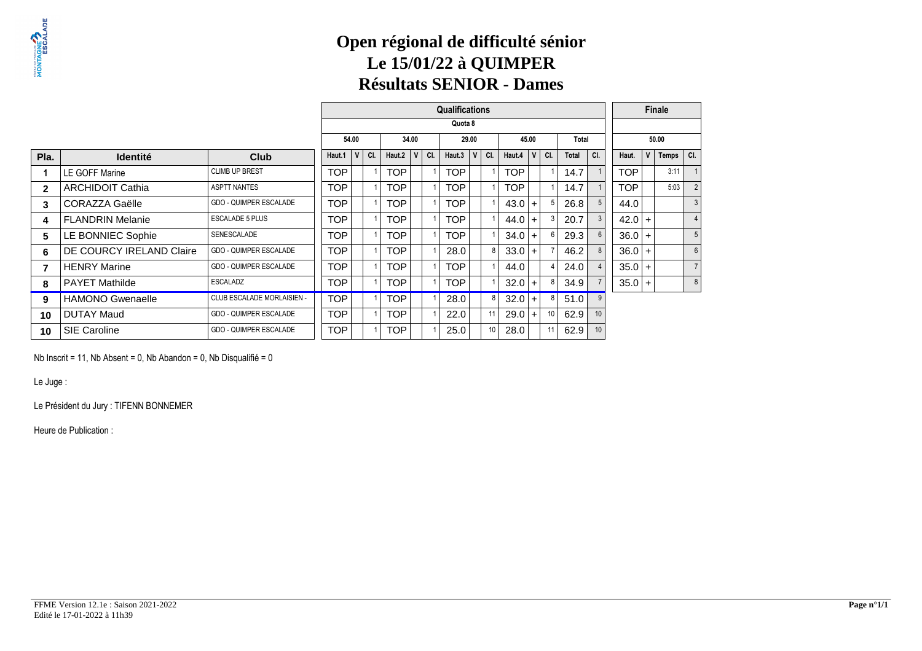## **Open régional de difficulté séniorLe 15/01/22 à QUIMPERRésultats SENIOR - Dames**

|              |                          |                                   | <b>Qualifications</b> |          |            |              |     |            |             |     |            |                | <b>Finale</b>   |       |     |            |       |       |                |
|--------------|--------------------------|-----------------------------------|-----------------------|----------|------------|--------------|-----|------------|-------------|-----|------------|----------------|-----------------|-------|-----|------------|-------|-------|----------------|
|              |                          |                                   |                       | Quota 8  |            |              |     |            |             |     |            |                |                 |       |     |            |       |       |                |
|              |                          |                                   |                       | 54.00    | 34.00      |              |     | 29.00      |             |     | 45.00      |                |                 | Total |     |            | 50.00 |       |                |
| Pla.         | <b>Identité</b>          | Club                              | Haut.1                | V<br>CI. | Haut.2     | $\mathsf{v}$ | CI. | Haut.3     | $\mathbf v$ | CI. | Haut.4     | V              | CI.             | Total | CI. | Haut.      | V     | Temps | CI.            |
|              | LE GOFF Marine           | <b>CLIMB UP BREST</b>             | <b>TOP</b>            |          | <b>TOP</b> |              |     | TOP.       |             |     | <b>TOP</b> |                |                 | 14.7  |     | <b>TOP</b> |       | 3:11  |                |
| $\mathbf{2}$ | <b>ARCHIDOIT Cathia</b>  | <b>ASPTT NANTES</b>               | TOP                   |          | <b>TOP</b> |              |     | TOP.       |             |     | <b>TOP</b> |                |                 | 14.7  |     | TOP        |       | 5:03  | $\overline{2}$ |
| 3            | <b>CORAZZA Gaëlle</b>    | GDO - QUIMPER ESCALADE            | <b>TOP</b>            |          | <b>TOP</b> |              |     | <b>TOP</b> |             |     | 43.0       | $+$            | 5               | 26.8  |     | 44.0       |       |       | 3              |
| 4            | <b>FLANDRIN Melanie</b>  | <b>ESCALADE 5 PLUS</b>            | <b>TOP</b>            |          | <b>TOP</b> |              |     | <b>TOP</b> |             |     | 44.0       | $\ddot{}$      | 3               | 20.7  |     | $42.0 +$   |       |       | $\overline{4}$ |
| 5            | LE BONNIEC Sophie        | SENESCALADE                       | <b>TOP</b>            |          | <b>TOP</b> |              |     | <b>TOP</b> |             |     | 34.0       | $\overline{+}$ |                 | 29.3  |     | $36.0 +$   |       |       | 5              |
| 6            | DE COURCY IRELAND Claire | <b>GDO - QUIMPER ESCALADE</b>     | <b>TOP</b>            |          | <b>TOP</b> |              |     | 28.0       |             |     | $33.0 +$   |                |                 | 46.2  |     | $36.0 +$   |       |       | 6              |
| 7            | <b>HENRY Marine</b>      | <b>GDO - QUIMPER ESCALADE</b>     | <b>TOP</b>            |          | <b>TOP</b> |              |     | <b>TOP</b> |             |     | 44.0       |                | 4               | 24.0  |     | $35.0 +$   |       |       |                |
| 8            | <b>PAYET Mathilde</b>    | ESCALADZ                          | TOP                   |          | TOP        |              |     | <b>TOP</b> |             |     | 32.0       | $+$            | 8               | 34.9  |     | $35.0 +$   |       |       | 8              |
| 9            | <b>HAMONO Gwenaelle</b>  | <b>CLUB ESCALADE MORLAISIEN -</b> | <b>TOP</b>            |          | <b>TOP</b> |              |     | 28.0       |             |     | $32.0 +$   |                | 8               | 51.0  |     |            |       |       |                |
| 10           | <b>DUTAY Maud</b>        | <b>GDO - QUIMPER ESCALADE</b>     | <b>TOP</b>            |          | <b>TOP</b> |              |     | 22.0       |             | 11  | 29.0       | $+$            | 10 <sup>°</sup> | 62.9  | 10  |            |       |       |                |
| 10           | <b>SIE Caroline</b>      | GDO - QUIMPER ESCALADE            | <b>TOP</b>            |          | TOP        |              |     | 25.0       |             | 10  | 28.0       |                | 11              | 62.9  |     |            |       |       |                |

Nb Inscrit = 11, Nb Absent = 0, Nb Abandon = 0, Nb Disqualifié = 0

Le Juge :

Le Président du Jury : TIFENN BONNEMER

Heure de Publication :